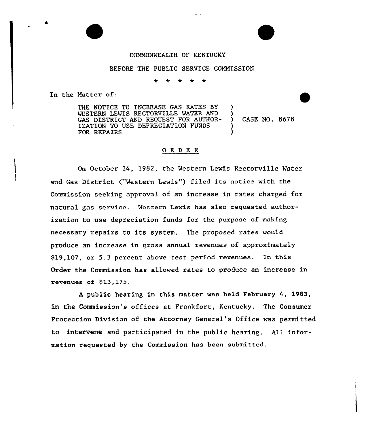## COMMONWEALTH OF KENTUCKY

#### BEFORE THE PUBLIC SERVICE COMMISSION

 $\star$  $\mathcal{A}_{\mathcal{C}}$  $\star$ 

In the Natter of:

THE NOTICE TO INCREASE GAS RATES BY WESTERN LEWIS RECTORVILLE WATER AND GAS DISTRICT AND REQUEST FOR AUTHOR-IZATION TO USE DEPRECIATION FUNDS FOR REPAIRS )  $\lambda$ ) )

) CASE NO. 8678

# ORDER

On October 14, 1982, the Western Lewis Rectorville Water and Gas District ("Western Lewis") filed its notice with the Commission seeking approval of an increase in rates charged for natural gas service. Western Lewis has also requested authorization to use depreciation funds for the purpose of making necessary repairs to its system. The proposed rates would produce an increase in gross annual revenues of approximately \$19,107, or 5.3 percent above test period revenues. In this Order the Commission has allowed rates to produce an increase in revenues of \$13,175.

<sup>A</sup> public hearing in this matter was held February 4, 1983, in the Commission's offices at Frankfort, Kentucky. The Consumer Protection Division of the Attorney General's Office was permitted to intervene and participated in the public hearing. All information requested by the Commission has been submitted.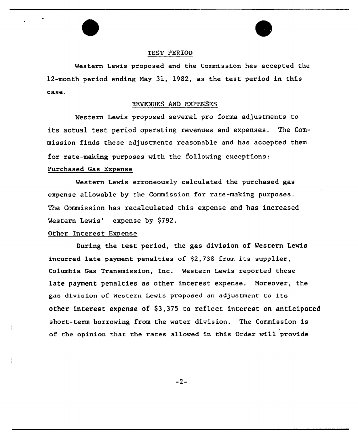

### TEST PERIOD

Western Lewis proposed and the Commission has accepted the 12-month period ending Nay 31, 1982, as the test period in this case.

#### REVENUES AND EXPENSES

Western Lewis proposed several pro forma adjustments to its actual test period operating revenues and expenses. The Commission finds these adjustments reasonable and has accepted them for rate-making purposes with the following exceptions:

## Purchased Gas Expense

Western Lewis erroneously calculated the purchased gas expense allowable by the Commission for rate-making purposes. The Commission has recalculated this expense and has increased Western Lewis' expense by \$792.

# Other Interest Expense

During the test period, the gas division of Western Lewis incurred late payment penalties of \$2,738 from its supplier, Columbia Gas Transmission, Inc. Western Lewis reported these late payment penalties as other interest expense. Noreover, the gas division of Western Lewis proposed an adjustment to its other interest expense of \$3,375 to reflect interest on anticipated short-term borrowing from the water division. The Commission is of the opinion that the rates allowed in this Order will provide

 $-2-$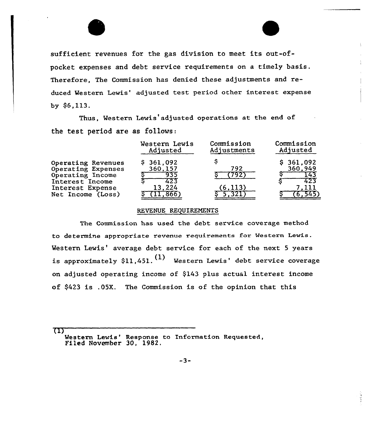sufficient revenues for the gas division to meet its out-ofpocket expenses and debt service requirements on a timely basis. Therefore, The Commission has denied these adjustments and reduced Western Lewis' adjusted test period other interest expense by  $$6,113$ .

Thus, Western Lewis'adjusted operations at the end of the test period are as fo11ows:

|                                                                                                                                 | Western Lewis                                | Commission      | Commission                         |
|---------------------------------------------------------------------------------------------------------------------------------|----------------------------------------------|-----------------|------------------------------------|
|                                                                                                                                 | Adjusted                                     | Adjustments     | Adjusted                           |
| Operating Revenues<br>Operating Expenses<br>Operating Income<br>Interest Income<br>Interest Expense<br><b>Net Income (Loss)</b> | \$361,092<br>360,157<br>935<br>423<br>13.224 | 792<br>(6, 113) | \$361,092<br>360,949<br>143<br>423 |

### REVENUE REQUIREMENTS

The Commission has used the debt service coverage method to determine appropriate revenue requirements For Western Lewis. Western Lewis' average debt service for each of the next 5 years is approximately \$11,451.  $(1)$  Western Lewis' debt service coverage on adjusted operating income of \$143 plus actual interest income of \$423 is .05K. The Commission is of the opinion that this

 $\mathbf{u}$ 

Western Lewis' Response to Information Requested, Filed November 30, 1982.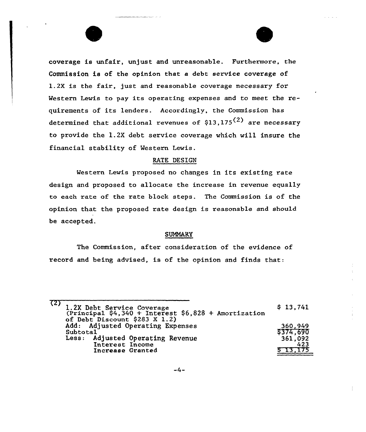coverage is unfair, unjust and unreasonable. Furthermore, the Commission is of the opinion that a debt service coverage of 1.2X is the fair, just and reasonable coverage necessary for Western Lewis to pay its operating expenses and to meet the requirements of its lenders. Accordingly, the Commission has determined that additional revenues of  $$13,175^{(2)}$  are necessary to provide the l.2X debt service coverage which will insure the financial stability of Western Lewis.

### RATE DESIGN

Western Lewis proposed no changes in its existing rate design and proposed to allocate the increase in revenue equally to each rate of the rate block steps. The Commission is of the opinion that the proposed rate design is reasonable and should be accepted.

## SUMMARY

The Commission, after consideration of the evidence of record and being advised, is of the opinion and finds that:

| (2) | 1.2X Debt Service Coverage<br>(Principal \$4,340 + Interest \$6,828 + Amortization<br>of Debt Discount \$283 X 1.2) | \$13,741            |
|-----|---------------------------------------------------------------------------------------------------------------------|---------------------|
|     | Add: Adjusted Operating Expenses<br>Subtotal                                                                        | 360,949<br>5374,690 |
|     | Less: Adjusted Operating Revenue<br>Interest Income<br>Increase Granted                                             | 361.092<br>423      |
|     |                                                                                                                     |                     |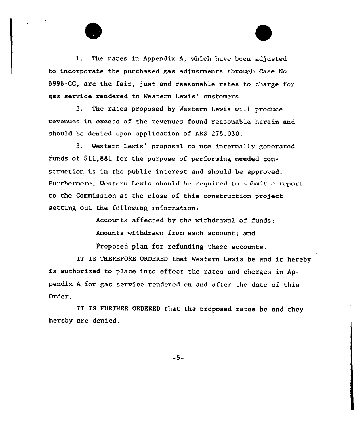

2. The rates proposed by Western Lewis will produce revenues in excess of the revenues found reasonable herein and should be denied upon application of KRS 278.030.

3. Western Lewis' proposal to use internally generated funds of \$11,881 for the purpose of performing needed construction is in the public interest and should be approved. Furthermore, Western Lewis should be required to submit a report to the Commission at the close of this construction project setting out the following information:

> Accounts affected by the withdrawal of funds; Anounts withdrawn from each account; and

Proposed plan for refunding these accounts.

IT IS THEREFORE ORDERED that Western Lewis be and it hereby is authorized to place into effect the rates and charges in Appendix <sup>A</sup> for gas service rendered on and aftex the date of this Order.

IT IS FURTHER ORDERED that the proposed rates be and they hereby are denied.

 $-5-$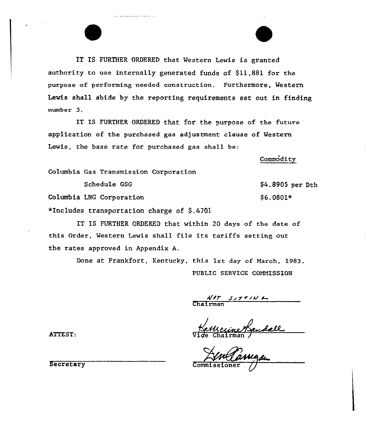IT IS FURTHER ORDERED that Western Lewis is granted authority to use internally generated funds of \$11,881 for the purpose of performing needed construction. Furthermore, western Lewis shall abide by the reporting requirements set out in finding number 3.

IT IS FURTHER ORDERED that for the purpose of the future application of the purchased gas adjustment clause of Western Lewis, the base rate for purchased gas shall be:

Commodity

Columbia Gas Transmission Corporation

Schedule GSG

Columbia LNG Corporation

\*Includes transportation charge of  $$.4701$ 

IT IS FURTHER ORDERED that within 20 days of the date of this Order, Western Lewis shall file its tariffs setting out the rates approved in Appendix A.

> Done at Frankfort, Kentucky, this 1st day of March, 1983. PUBLIC SERVICE COMMISSION

 $\frac{\frac{1}{100}}{100}$ Chairma

ATTEST:  $\overline{vide Chalrman}$ 

Commissioner g

Secretary

\$4.8905 per Dth

\$6.0801\*